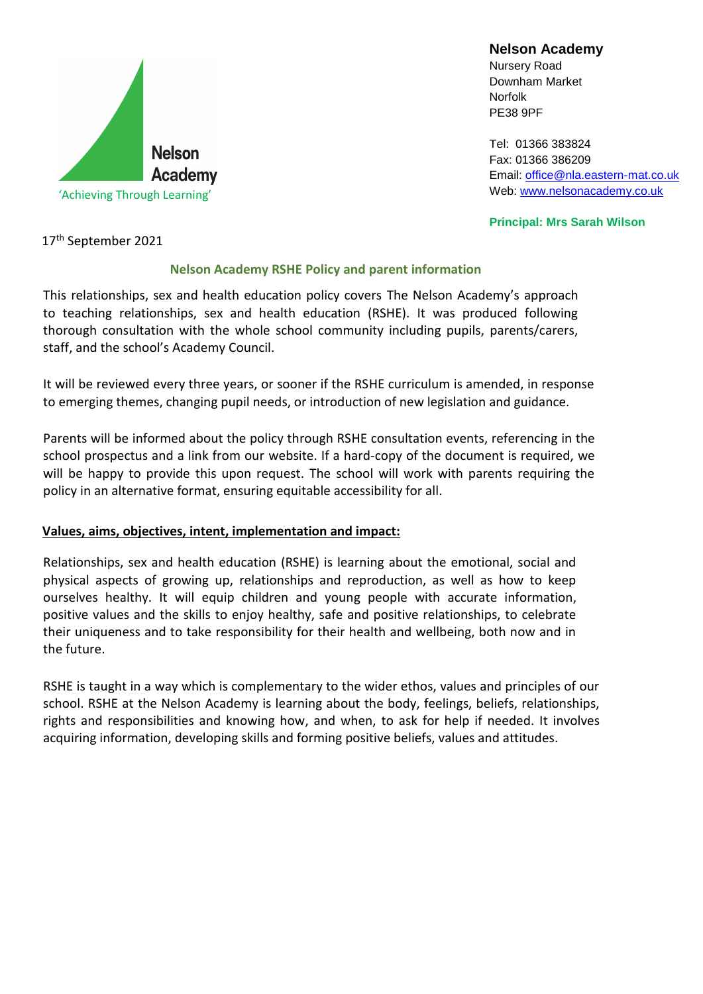

**Nelson Academy**

Nursery Road Downham Market Norfolk PE38 9PF

[Tel: 01366](tel:01366) 383824 Fax: 01366 386209 Email: [office@nla.eastern-mat.co.uk](mailto:office@nla.eastern-mat.co.uk) Web: [www.nelsonacademy.co.uk](http://www.nelsonacademy.co.uk/)

**Principal: Mrs Sarah Wilson**

17th September 2021

#### **Nelson Academy RSHE Policy and parent information**

This relationships, sex and health education policy covers The Nelson Academy's approach to teaching relationships, sex and health education (RSHE). It was produced following thorough consultation with the whole school community including pupils, parents/carers, staff, and the school's Academy Council.

It will be reviewed every three years, or sooner if the RSHE curriculum is amended, in response to emerging themes, changing pupil needs, or introduction of new legislation and guidance.

Parents will be informed about the policy through RSHE consultation events, referencing in the school prospectus and a link from our website. If a hard-copy of the document is required, we will be happy to provide this upon request. The school will work with parents requiring the policy in an alternative format, ensuring equitable accessibility for all.

#### **Values, aims, objectives, intent, implementation and impact:**

Relationships, sex and health education (RSHE) is learning about the emotional, social and physical aspects of growing up, relationships and reproduction, as well as how to keep ourselves healthy. It will equip children and young people with accurate information, positive values and the skills to enjoy healthy, safe and positive relationships, to celebrate their uniqueness and to take responsibility for their health and wellbeing, both now and in the future.

RSHE is taught in a way which is complementary to the wider ethos, values and principles of our school. RSHE at the Nelson Academy is learning about the body, feelings, beliefs, relationships, rights and responsibilities and knowing how, and when, to ask for help if needed. It involves acquiring information, developing skills and forming positive beliefs, values and attitudes.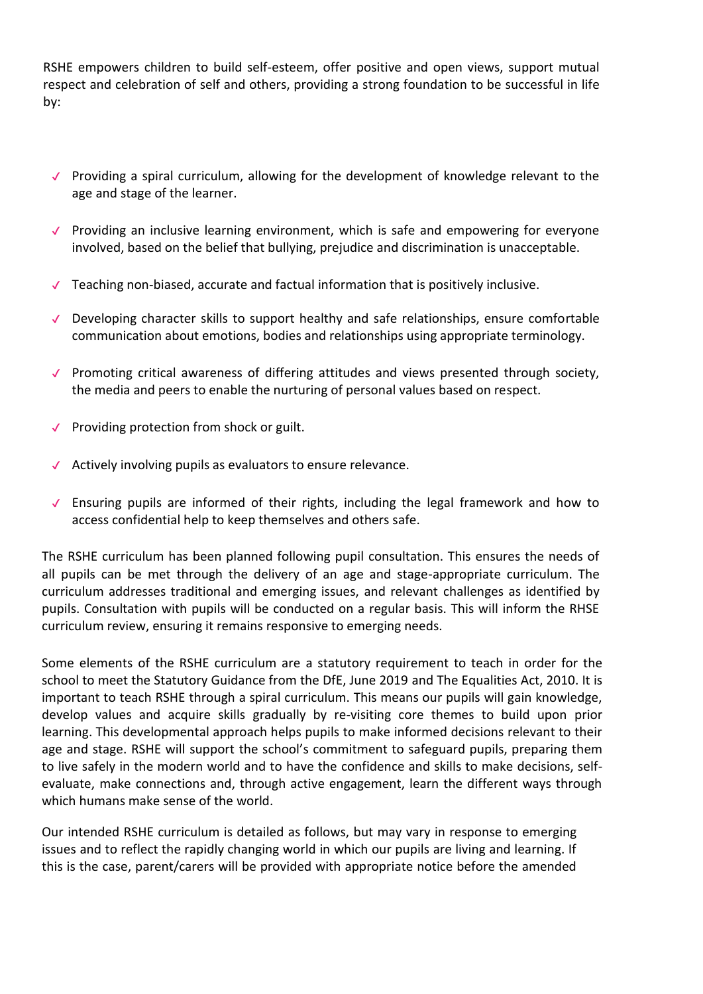RSHE empowers children to build self-esteem, offer positive and open views, support mutual respect and celebration of self and others, providing a strong foundation to be successful in life by:

- ✔ Providing a spiral curriculum, allowing for the development of knowledge relevant to the age and stage of the learner.
- ✔ Providing an inclusive learning environment, which is safe and empowering for everyone involved, based on the belief that bullying, prejudice and discrimination is unacceptable.
- $\checkmark$  Teaching non-biased, accurate and factual information that is positively inclusive.
- ✔ Developing character skills to support healthy and safe relationships, ensure comfortable communication about emotions, bodies and relationships using appropriate terminology.
- ✔ Promoting critical awareness of differing attitudes and views presented through society, the media and peers to enable the nurturing of personal values based on respect.
- ✔ Providing protection from shock or guilt.
- ✔ Actively involving pupils as evaluators to ensure relevance.
- ✔ Ensuring pupils are informed of their rights, including the legal framework and how to access confidential help to keep themselves and others safe.

The RSHE curriculum has been planned following pupil consultation. This ensures the needs of all pupils can be met through the delivery of an age and stage-appropriate curriculum. The curriculum addresses traditional and emerging issues, and relevant challenges as identified by pupils. Consultation with pupils will be conducted on a regular basis. This will inform the RHSE curriculum review, ensuring it remains responsive to emerging needs.

Some elements of the RSHE curriculum are a statutory requirement to teach in order for the school to meet the Statutory Guidance from the DfE, June 2019 and The Equalities Act, 2010. It is important to teach RSHE through a spiral curriculum. This means our pupils will gain knowledge, develop values and acquire skills gradually by re-visiting core themes to build upon prior learning. This developmental approach helps pupils to make informed decisions relevant to their age and stage. RSHE will support the school's commitment to safeguard pupils, preparing them to live safely in the modern world and to have the confidence and skills to make decisions, selfevaluate, make connections and, through active engagement, learn the different ways through which humans make sense of the world.

Our intended RSHE curriculum is detailed as follows, but may vary in response to emerging issues and to reflect the rapidly changing world in which our pupils are living and learning. If this is the case, parent/carers will be provided with appropriate notice before the amended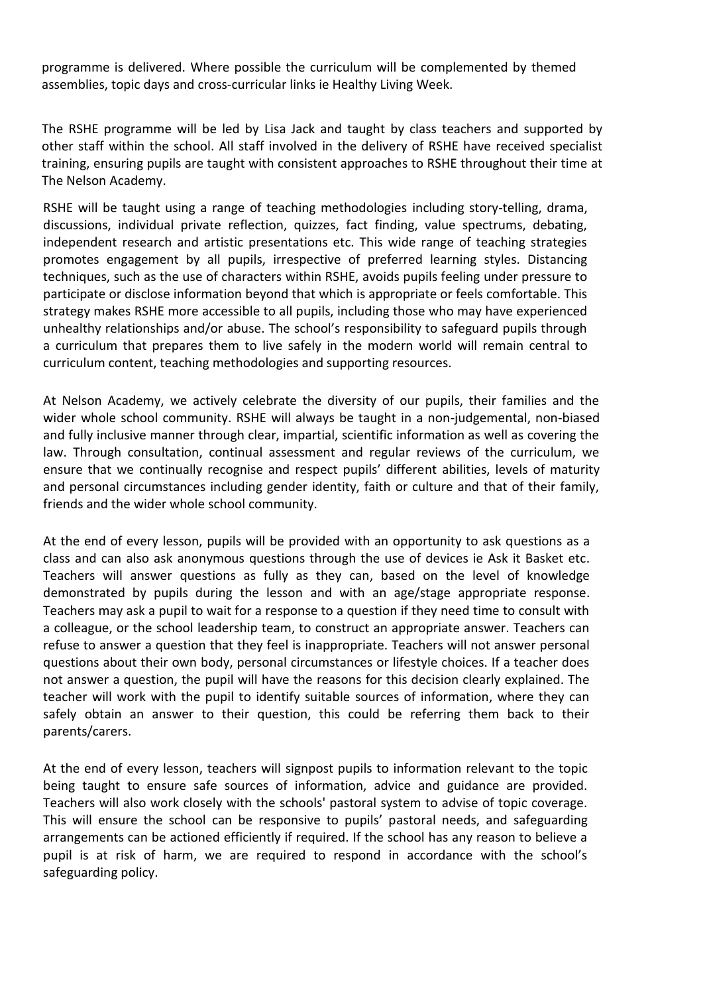programme is delivered. Where possible the curriculum will be complemented by themed assemblies, topic days and cross-curricular links ie Healthy Living Week.

The RSHE programme will be led by Lisa Jack and taught by class teachers and supported by other staff within the school. All staff involved in the delivery of RSHE have received specialist training, ensuring pupils are taught with consistent approaches to RSHE throughout their time at The Nelson Academy.

RSHE will be taught using a range of teaching methodologies including story-telling, drama, discussions, individual private reflection, quizzes, fact finding, value spectrums, debating, independent research and artistic presentations etc. This wide range of teaching strategies promotes engagement by all pupils, irrespective of preferred learning styles. Distancing techniques, such as the use of characters within RSHE, avoids pupils feeling under pressure to participate or disclose information beyond that which is appropriate or feels comfortable. This strategy makes RSHE more accessible to all pupils, including those who may have experienced unhealthy relationships and/or abuse. The school's responsibility to safeguard pupils through a curriculum that prepares them to live safely in the modern world will remain central to curriculum content, teaching methodologies and supporting resources.

At Nelson Academy, we actively celebrate the diversity of our pupils, their families and the wider whole school community. RSHE will always be taught in a non-judgemental, non-biased and fully inclusive manner through clear, impartial, scientific information as well as covering the law. Through consultation, continual assessment and regular reviews of the curriculum, we ensure that we continually recognise and respect pupils' different abilities, levels of maturity and personal circumstances including gender identity, faith or culture and that of their family, friends and the wider whole school community.

At the end of every lesson, pupils will be provided with an opportunity to ask questions as a class and can also ask anonymous questions through the use of devices ie Ask it Basket etc. Teachers will answer questions as fully as they can, based on the level of knowledge demonstrated by pupils during the lesson and with an age/stage appropriate response. Teachers may ask a pupil to wait for a response to a question if they need time to consult with a colleague, or the school leadership team, to construct an appropriate answer. Teachers can refuse to answer a question that they feel is inappropriate. Teachers will not answer personal questions about their own body, personal circumstances or lifestyle choices. If a teacher does not answer a question, the pupil will have the reasons for this decision clearly explained. The teacher will work with the pupil to identify suitable sources of information, where they can safely obtain an answer to their question, this could be referring them back to their parents/carers.

At the end of every lesson, teachers will signpost pupils to information relevant to the topic being taught to ensure safe sources of information, advice and guidance are provided. Teachers will also work closely with the schools' pastoral system to advise of topic coverage. This will ensure the school can be responsive to pupils' pastoral needs, and safeguarding arrangements can be actioned efficiently if required. If the school has any reason to believe a pupil is at risk of harm, we are required to respond in accordance with the school's safeguarding policy.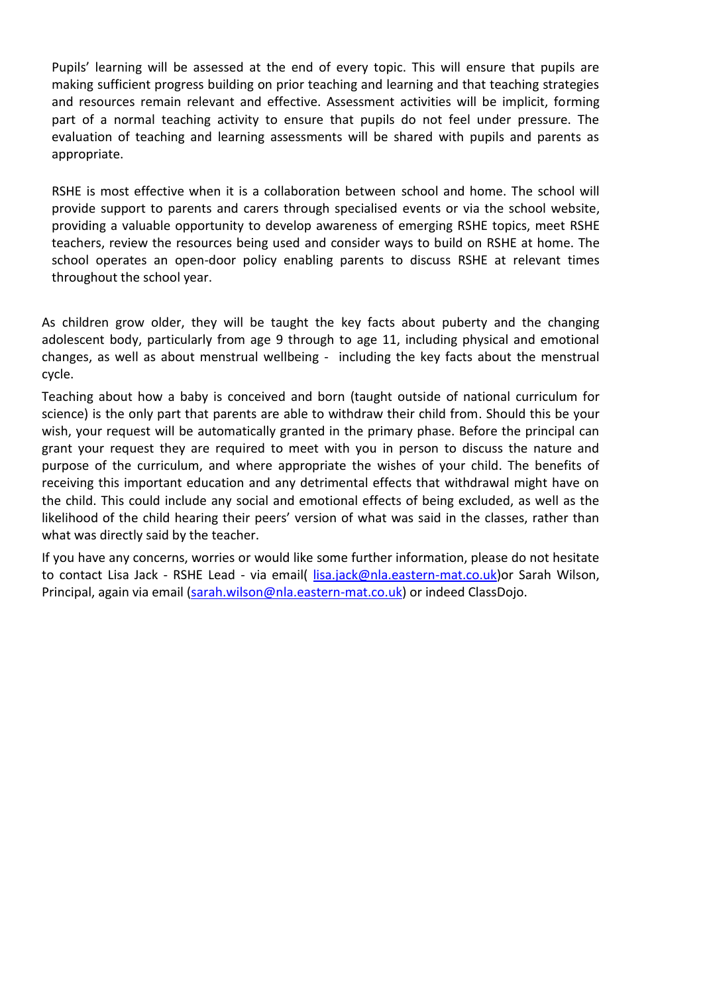Pupils' learning will be assessed at the end of every topic. This will ensure that pupils are making sufficient progress building on prior teaching and learning and that teaching strategies and resources remain relevant and effective. Assessment activities will be implicit, forming part of a normal teaching activity to ensure that pupils do not feel under pressure. The evaluation of teaching and learning assessments will be shared with pupils and parents as appropriate.

RSHE is most effective when it is a collaboration between school and home. The school will provide support to parents and carers through specialised events or via the school website, providing a valuable opportunity to develop awareness of emerging RSHE topics, meet RSHE teachers, review the resources being used and consider ways to build on RSHE at home. The school operates an open-door policy enabling parents to discuss RSHE at relevant times throughout the school year.

As children grow older, they will be taught the key facts about puberty and the changing adolescent body, particularly from age 9 through to age 11, including physical and emotional changes, as well as about menstrual wellbeing - including the key facts about the menstrual cycle.

Teaching about how a baby is conceived and born (taught outside of national curriculum for science) is the only part that parents are able to withdraw their child from. Should this be your wish, your request will be automatically granted in the primary phase. Before the principal can grant your request they are required to meet with you in person to discuss the nature and purpose of the curriculum, and where appropriate the wishes of your child. The benefits of receiving this important education and any detrimental effects that withdrawal might have on the child. This could include any social and emotional effects of being excluded, as well as the likelihood of the child hearing their peers' version of what was said in the classes, rather than what was directly said by the teacher.

If you have any concerns, worries or would like some further information, please do not hesitate to contact Lisa Jack - RSHE Lead - via email( [lisa.jack@nla.eastern-mat.co.uk\)](mailto:lisa.jack@nla.eastern-mat.co.uk) or Sarah Wilson, Principal, again via email [\(sarah.wilson@nla.eastern-mat.co.uk\)](mailto:sarah.wilson@nla.eastern-mat.co.uk) or indeed ClassDojo.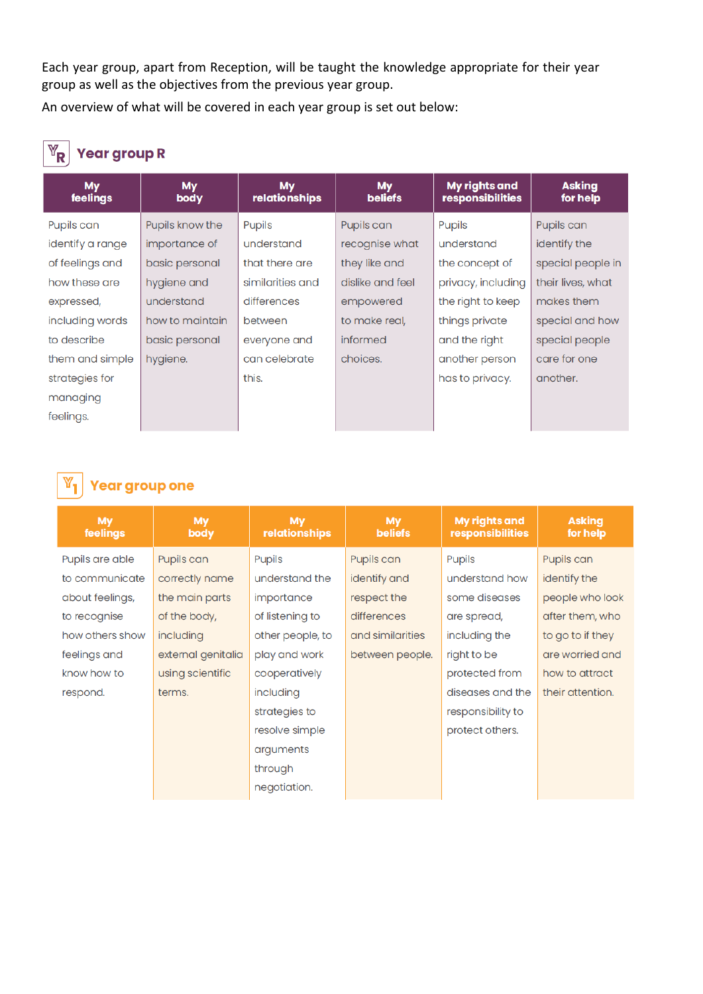Each year group, apart from Reception, will be taught the knowledge appropriate for their year group as well as the objectives from the previous year group.

An overview of what will be covered in each year group is set out below:

### $\overline{\mathbb{Y}}_{\mathsf{R}}$  Year group R

| <b>My</b><br>feelings | <b>My</b><br>body | <b>My</b><br><b>relationships</b> | <b>My</b><br><b>beliefs</b> | My rights and<br>responsibilities | <b>Asking</b><br>for help |
|-----------------------|-------------------|-----------------------------------|-----------------------------|-----------------------------------|---------------------------|
| Pupils can            | Pupils know the   | <b>Pupils</b>                     | Pupils can                  | <b>Pupils</b>                     | Pupils can                |
| identify a range      | importance of     | understand                        | recognise what              | understand                        | identify the              |
| of feelings and       | basic personal    | that there are                    | they like and               | the concept of                    | special people in         |
| how these are         | hygiene and       | similarities and                  | dislike and feel            | privacy, including                | their lives, what         |
| expressed,            | understand        | differences                       | empowered                   | the right to keep                 | makes them                |
| including words       | how to maintain   | between                           | to make real,               | things private                    | special and how           |
| to describe           | basic personal    | everyone and                      | informed                    | and the right                     | special people            |
| them and simple       | hygiene.          | can celebrate                     | choices.                    | another person                    | care for one              |
| strategies for        |                   | this.                             |                             | has to privacy.                   | another.                  |
| managing              |                   |                                   |                             |                                   |                           |
| feelings.             |                   |                                   |                             |                                   |                           |

#### **Year group one**

| <b>My</b><br>feelings | <b>My</b><br>body  | <b>My</b><br>relationships | <b>My</b><br><b>beliefs</b> | <b>My rights and</b><br>responsibilities | <b>Asking</b><br>for help |  |
|-----------------------|--------------------|----------------------------|-----------------------------|------------------------------------------|---------------------------|--|
| Pupils are able       | Pupils can         | Pupils                     | Pupils can                  | <b>Pupils</b>                            | Pupils can                |  |
| to communicate        | correctly name     | understand the             | identify and                | understand how                           | identify the              |  |
| about feelings,       | the main parts     | importance                 | respect the                 | some diseases                            | people who look           |  |
| to recognise          | of the body,       | of listening to            | differences                 | are spread,                              | after them, who           |  |
| how others show       | including          | other people, to           | and similarities            | including the                            | to go to if they          |  |
| feelings and          | external genitalia | play and work              | between people.             | right to be                              | are worried and           |  |
| know how to           | using scientific   | cooperatively              |                             | protected from                           | how to attract            |  |
| respond.              | terms.             | including                  |                             | diseases and the                         | their attention.          |  |
|                       |                    | strategies to              |                             | responsibility to                        |                           |  |
|                       |                    | resolve simple             |                             | protect others.                          |                           |  |
|                       |                    | arguments                  |                             |                                          |                           |  |
|                       |                    | through                    |                             |                                          |                           |  |
|                       |                    | negotiation.               |                             |                                          |                           |  |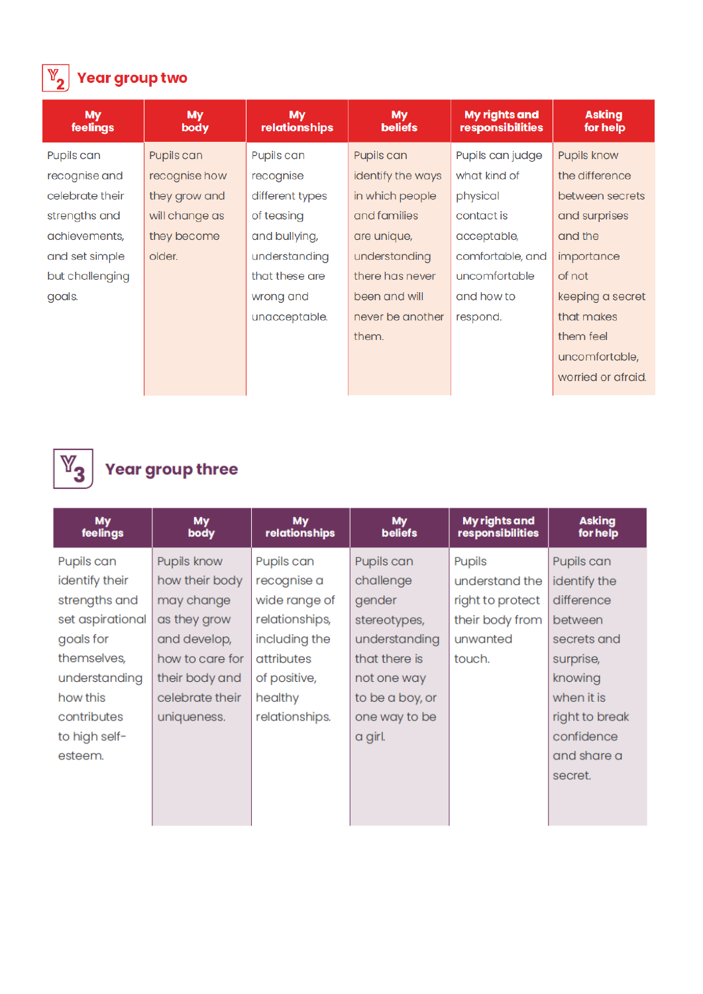

### $\boxed{\mathbb{Y}_{2}}$  Year group two

| <b>My</b><br>feelings | <b>My</b><br>body | <b>My</b><br>relationships | <b>My</b><br><b>beliefs</b> | <b>My rights and</b><br>responsibilities | <b>Asking</b><br>for help |
|-----------------------|-------------------|----------------------------|-----------------------------|------------------------------------------|---------------------------|
| Pupils can            | Pupils can        | Pupils can                 | Pupils can                  | Pupils can judge                         | Pupils know               |
| recognise and         | recognise how     | recognise                  | identify the ways           | what kind of                             | the difference            |
| celebrate their       | they grow and     | different types            | in which people             | physical                                 | between secrets           |
| strengths and         | will change as    | of teasing                 | and families                | contact is                               | and surprises             |
| achievements,         | they become       | and bullying,              | are unique,                 | acceptable,                              | and the                   |
| and set simple        | older.            | understanding              | understanding               | comfortable, and                         | importance                |
| but challenging       |                   | that these are             | there has never             | uncomfortable                            | of not                    |
| goals.                |                   | wrong and                  | been and will               | and how to                               |                           |
|                       |                   | unacceptable.              | never be another            | respond.                                 | that makes                |
|                       |                   |                            | them.                       |                                          | them feel                 |
|                       |                   |                            |                             |                                          | uncomfortable,            |
|                       |                   |                            |                             |                                          | worried or afraid.        |



# $\begin{array}{|c|} \hline \mathbb{Y}_3 \end{array}$  Year group three

| <b>My</b><br>feelings | My<br>body      | <b>My</b><br>relationships | <b>My</b><br><b>beliefs</b> | My rights and<br>responsibilities | <b>Asking</b><br>for help |
|-----------------------|-----------------|----------------------------|-----------------------------|-----------------------------------|---------------------------|
| Pupils can            | Pupils know     | Pupils can                 | Pupils can                  | Pupils                            | Pupils can                |
| identify their        | how their body  | recognise a                | challenge                   | understand the                    | identify the              |
| strengths and         | may change      | wide range of              | gender                      | right to protect                  | difference                |
| set aspirational      | as they grow    | relationships,             | stereotypes,                | their body from                   | between                   |
| goals for             | and develop,    | including the              | understanding               | unwanted                          | secrets and               |
| themselves,           | how to care for | attributes                 | that there is               | touch.                            | surprise,                 |
| understanding         | their body and  | of positive,               | not one way                 |                                   | knowing                   |
| how this              | celebrate their | healthy                    | to be a boy, or             |                                   | when it is                |
| contributes           | uniqueness.     | relationships.             | one way to be               |                                   | right to break            |
| to high self-         |                 |                            | a girl.                     |                                   | confidence                |
| esteem.               |                 |                            |                             |                                   | and share a               |
|                       |                 |                            |                             |                                   | secret.                   |
|                       |                 |                            |                             |                                   |                           |
|                       |                 |                            |                             |                                   |                           |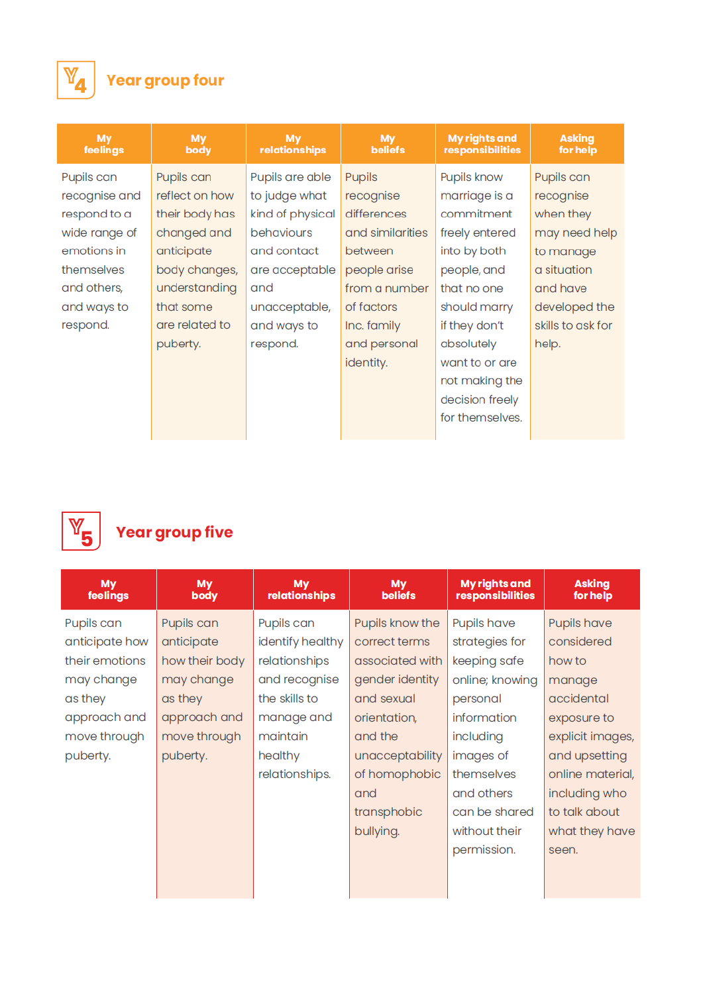

## $\begin{array}{|c|} \hline \mathbb{Y}_\mathbf{4} \hline \end{array}$  Year group four

| <b>My</b><br>feelings | <b>My</b><br>body | <b>My</b><br>relationships | <b>My</b><br><b>beliefs</b> | <b>My rights and</b><br>responsibilities | <b>Asking</b><br>for help |  |
|-----------------------|-------------------|----------------------------|-----------------------------|------------------------------------------|---------------------------|--|
| Pupils can            | Pupils can        | Pupils are able            | <b>Pupils</b>               | Pupils know                              | Pupils can                |  |
| recognise and         | reflect on how    | to judge what              | recognise                   | marriage is a                            | recognise                 |  |
| respond to a          | their body has    | kind of physical           | differences                 | commitment                               | when they                 |  |
| wide range of         | changed and       | behaviours                 | and similarities            | freely entered                           | may need help             |  |
| emotions in           | anticipate        | and contact                | between                     | into by both                             | to manage                 |  |
| themselves            | body changes,     | are acceptable             | people arise                | people, and                              | a situation               |  |
| and others,           | understanding     | and                        | from a number               | that no one                              | and have                  |  |
| and ways to           | that some         | unacceptable,              | of factors                  | should marry                             | developed the             |  |
| respond.              | are related to    | and ways to                | Inc. family                 | if they don't                            | skills to ask for         |  |
|                       | puberty.          | respond.                   | and personal                | absolutely                               | help.                     |  |
|                       |                   |                            | identity.                   | want to or are                           |                           |  |
|                       |                   |                            |                             | not making the                           |                           |  |
|                       |                   |                            |                             | decision freely                          |                           |  |
|                       |                   |                            |                             | for themselves.                          |                           |  |
|                       |                   |                            |                             |                                          |                           |  |



## $\begin{array}{|c|} \hline \mathbb{Y}_{\mathbf{5}} \hline \end{array}$  Year group five

| My<br>feelings | <b>My</b><br>body | My<br>relationships | <b>My</b><br><b>beliefs</b> | <b>My rights and</b><br>responsibilities | <b>Asking</b><br>for help |  |
|----------------|-------------------|---------------------|-----------------------------|------------------------------------------|---------------------------|--|
| Pupils can     | Pupils can        | Pupils can          | Pupils know the             | Pupils have                              | Pupils have               |  |
| anticipate how | anticipate        | identify healthy    | correct terms               | strategies for                           | considered                |  |
| their emotions | how their body    | relationships       | associated with             | keeping safe                             | how to                    |  |
| may change     | may change        | and recognise       | gender identity             | online; knowing                          | manage                    |  |
| as they        | as they           | the skills to       | and sexual                  | personal                                 | accidental                |  |
| approach and   | approach and      | manage and          | orientation,                | information                              | exposure to               |  |
| move through   | move through      | maintain            | and the                     | including                                | explicit images,          |  |
| puberty.       | puberty.          | healthy             | unacceptability             | images of                                | and upsetting             |  |
|                |                   | relationships.      | of homophobic               | themselves                               | online material,          |  |
|                |                   |                     | and                         | and others                               | including who             |  |
|                |                   |                     | transphobic                 | can be shared                            | to talk about             |  |
|                |                   |                     | bullying.                   | without their                            | what they have            |  |
|                |                   |                     |                             | permission.                              | seen.                     |  |
|                |                   |                     |                             |                                          |                           |  |
|                |                   |                     |                             |                                          |                           |  |